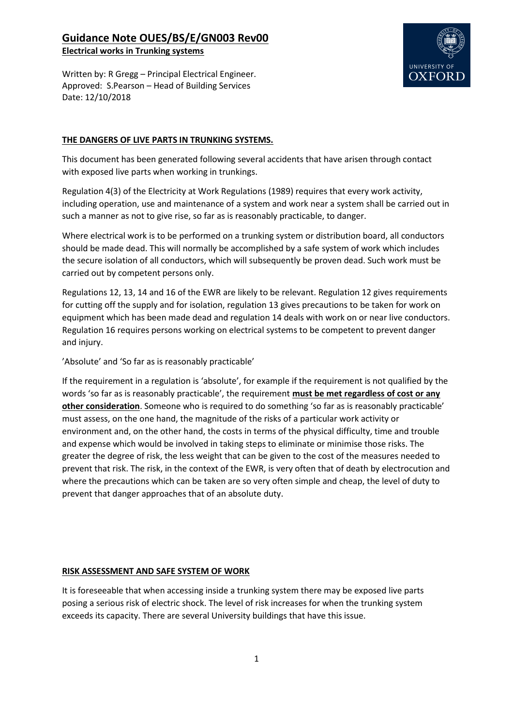## **Guidance Note OUES/BS/E/GN003 Rev00**

**Electrical works in Trunking systems**

UNIVERSITY OF **OXFOR** 

Written by: R Gregg – Principal Electrical Engineer. Approved: S.Pearson – Head of Building Services Date: 12/10/2018

#### **THE DANGERS OF LIVE PARTS IN TRUNKING SYSTEMS.**

This document has been generated following several accidents that have arisen through contact with exposed live parts when working in trunkings.

Regulation 4(3) of the Electricity at Work Regulations (1989) requires that every work activity, including operation, use and maintenance of a system and work near a system shall be carried out in such a manner as not to give rise, so far as is reasonably practicable, to danger.

Where electrical work is to be performed on a trunking system or distribution board, all conductors should be made dead. This will normally be accomplished by a safe system of work which includes the secure isolation of all conductors, which will subsequently be proven dead. Such work must be carried out by competent persons only.

Regulations 12, 13, 14 and 16 of the EWR are likely to be relevant. Regulation 12 gives requirements for cutting off the supply and for isolation, regulation 13 gives precautions to be taken for work on equipment which has been made dead and regulation 14 deals with work on or near live conductors. Regulation 16 requires persons working on electrical systems to be competent to prevent danger and injury.

'Absolute' and 'So far as is reasonably practicable'

If the requirement in a regulation is 'absolute', for example if the requirement is not qualified by the words 'so far as is reasonably practicable', the requirement **must be met regardless of cost or any other consideration**. Someone who is required to do something 'so far as is reasonably practicable' must assess, on the one hand, the magnitude of the risks of a particular work activity or environment and, on the other hand, the costs in terms of the physical difficulty, time and trouble and expense which would be involved in taking steps to eliminate or minimise those risks. The greater the degree of risk, the less weight that can be given to the cost of the measures needed to prevent that risk. The risk, in the context of the EWR, is very often that of death by electrocution and where the precautions which can be taken are so very often simple and cheap, the level of duty to prevent that danger approaches that of an absolute duty.

#### **RISK ASSESSMENT AND SAFE SYSTEM OF WORK**

It is foreseeable that when accessing inside a trunking system there may be exposed live parts posing a serious risk of electric shock. The level of risk increases for when the trunking system exceeds its capacity. There are several University buildings that have this issue.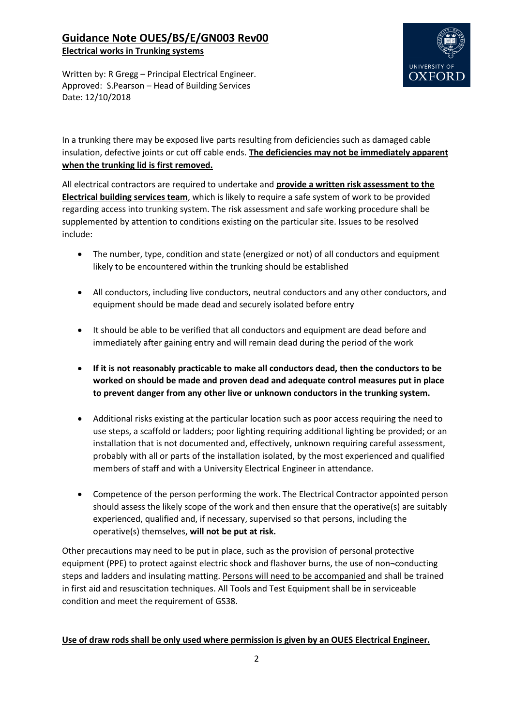# **Guidance Note OUES/BS/E/GN003 Rev00**

**Electrical works in Trunking systems**

UNIVERSITY OF **OXFOR** 

Written by: R Gregg – Principal Electrical Engineer. Approved: S.Pearson – Head of Building Services Date: 12/10/2018

In a trunking there may be exposed live parts resulting from deficiencies such as damaged cable insulation, defective joints or cut off cable ends. **The deficiencies may not be immediately apparent when the trunking lid is first removed.**

All electrical contractors are required to undertake and **provide a written risk assessment to the Electrical building services team**, which is likely to require a safe system of work to be provided regarding access into trunking system. The risk assessment and safe working procedure shall be supplemented by attention to conditions existing on the particular site. Issues to be resolved include:

- The number, type, condition and state (energized or not) of all conductors and equipment likely to be encountered within the trunking should be established
- All conductors, including live conductors, neutral conductors and any other conductors, and equipment should be made dead and securely isolated before entry
- It should be able to be verified that all conductors and equipment are dead before and immediately after gaining entry and will remain dead during the period of the work
- **If it is not reasonably practicable to make all conductors dead, then the conductors to be worked on should be made and proven dead and adequate control measures put in place to prevent danger from any other live or unknown conductors in the trunking system.**
- Additional risks existing at the particular location such as poor access requiring the need to use steps, a scaffold or ladders; poor lighting requiring additional lighting be provided; or an installation that is not documented and, effectively, unknown requiring careful assessment, probably with all or parts of the installation isolated, by the most experienced and qualified members of staff and with a University Electrical Engineer in attendance.
- Competence of the person performing the work. The Electrical Contractor appointed person should assess the likely scope of the work and then ensure that the operative(s) are suitably experienced, qualified and, if necessary, supervised so that persons, including the operative(s) themselves, **will not be put at risk.**

Other precautions may need to be put in place, such as the provision of personal protective equipment (PPE) to protect against electric shock and flashover burns, the use of non¬conducting steps and ladders and insulating matting. Persons will need to be accompanied and shall be trained in first aid and resuscitation techniques. All Tools and Test Equipment shall be in serviceable condition and meet the requirement of GS38.

#### **Use of draw rods shall be only used where permission is given by an OUES Electrical Engineer.**